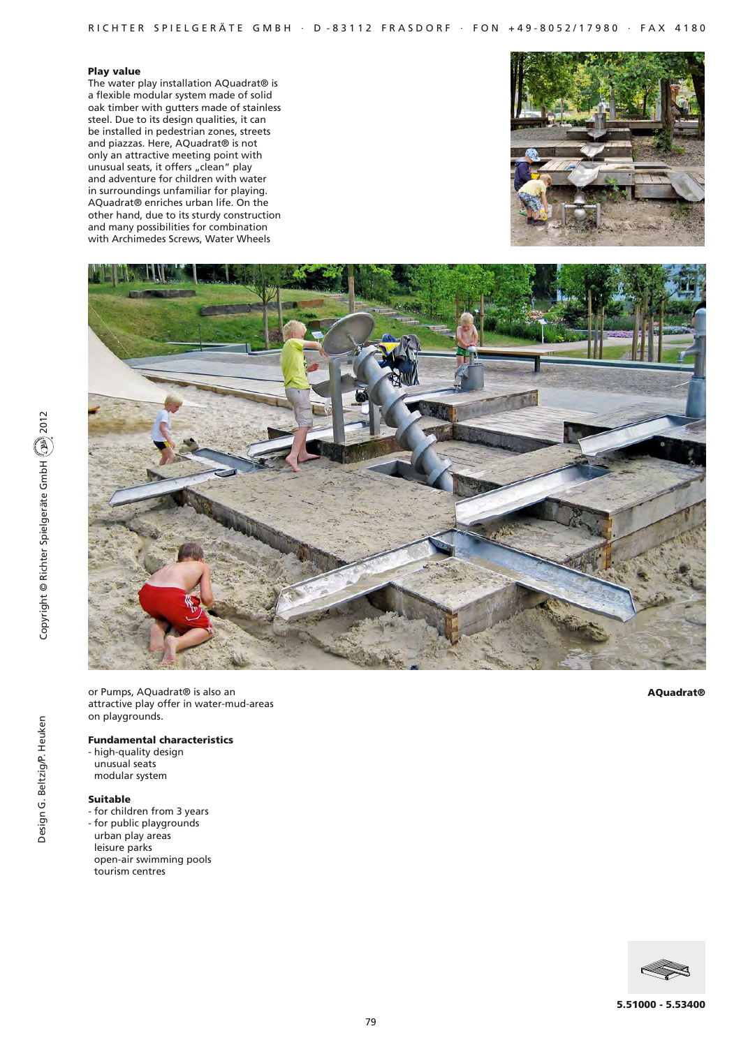## Play value

The water play installation AQuadrat® is a flexible modular system made of solid oak timber with gutters made of stainless steel. Due to its design qualities, it can be installed in pedestrian zones, streets and piazzas. Here, AQuadrat® is not only an attractive meeting point with unusual seats, it offers "clean" play and adventure for children with water in surroundings unfamiliar for playing. AQuadrat® enriches urban life. On the other hand, due to its sturdy construction and many possibilities for combination with Archimedes Screws, Water Wheels





or Pumps, AQuadrat® is also an attractive play offer in water-mud-areas on playgrounds.

#### Fundamental characteristics

- high-quality design
- unusual seats modular system
- 

# Suitable

- for children from 3 years
- for public playgrounds urban play areas leisure parks open-air swimming pools tourism centres

AQuadrat®